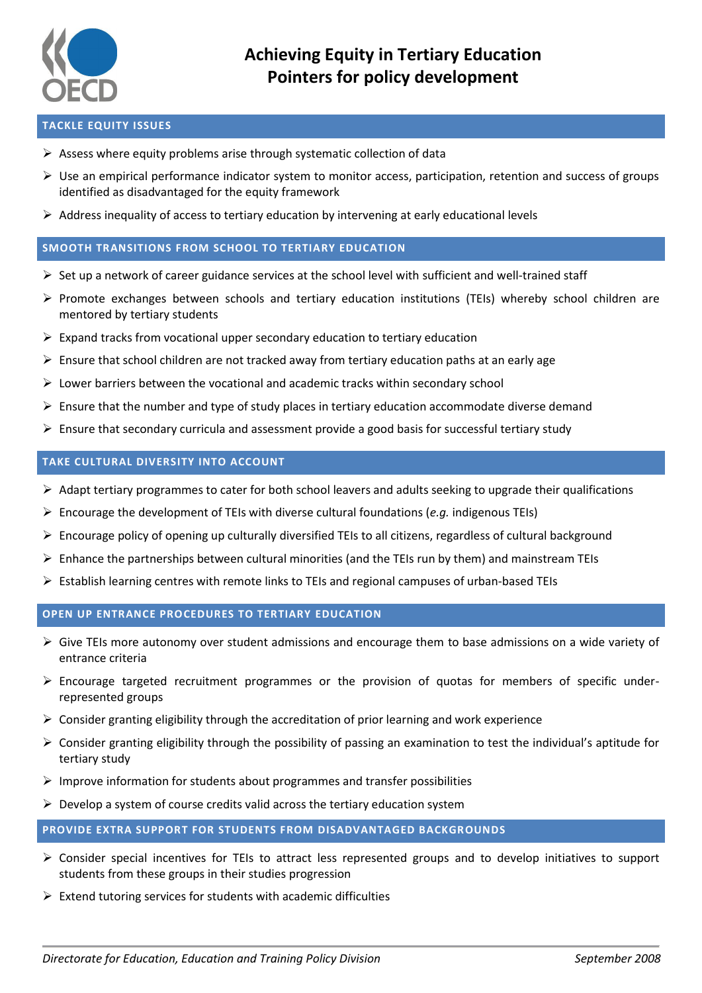

#### **TACKLE EQUITY ISSUES**

- $\triangleright$  Assess where equity problems arise through systematic collection of data
- $\triangleright$  Use an empirical performance indicator system to monitor access, participation, retention and success of groups identified as disadvantaged for the equity framework
- $\triangleright$  Address inequality of access to tertiary education by intervening at early educational levels

## **SMOOTH TRANSITIONS FROM SCHOOL TO TERTIARY EDUCATION**

- $\triangleright$  Set up a network of career guidance services at the school level with sufficient and well-trained staff
- $\triangleright$  Promote exchanges between schools and tertiary education institutions (TEIs) whereby school children are mentored by tertiary students
- $\triangleright$  Expand tracks from vocational upper secondary education to tertiary education
- $\triangleright$  Ensure that school children are not tracked away from tertiary education paths at an early age
- $\triangleright$  Lower barriers between the vocational and academic tracks within secondary school
- $\triangleright$  Ensure that the number and type of study places in tertiary education accommodate diverse demand
- $\triangleright$  Ensure that secondary curricula and assessment provide a good basis for successful tertiary study

## **TAKE CULTURAL DIVERSITY INTO ACCOUNT**

- $\triangleright$  Adapt tertiary programmes to cater for both school leavers and adults seeking to upgrade their qualifications
- $\triangleright$  Encourage the development of TEIs with diverse cultural foundations (*e.g.* indigenous TEIs)
- $\triangleright$  Encourage policy of opening up culturally diversified TEIs to all citizens, regardless of cultural background
- $\triangleright$  Enhance the partnerships between cultural minorities (and the TEIs run by them) and mainstream TEIs
- $\triangleright$  Establish learning centres with remote links to TEIs and regional campuses of urban-based TEIs

## **OPEN UP ENTRANCE PROCEDURES TO TERTIARY EDUCATION**

- Give TEIs more autonomy over student admissions and encourage them to base admissions on a wide variety of entrance criteria
- $\triangleright$  Encourage targeted recruitment programmes or the provision of quotas for members of specific underrepresented groups
- $\triangleright$  Consider granting eligibility through the accreditation of prior learning and work experience
- Consider granting eligibility through the possibility of passing an examination to test the individual's aptitude for tertiary study
- $\triangleright$  Improve information for students about programmes and transfer possibilities
- $\triangleright$  Develop a system of course credits valid across the tertiary education system

# **PROVIDE EXTRA SUPPORT FOR STUDENTS FROM DISADVANTAGED BACKGROUNDS**

- $\triangleright$  Consider special incentives for TEIs to attract less represented groups and to develop initiatives to support students from these groups in their studies progression
- $\triangleright$  Extend tutoring services for students with academic difficulties